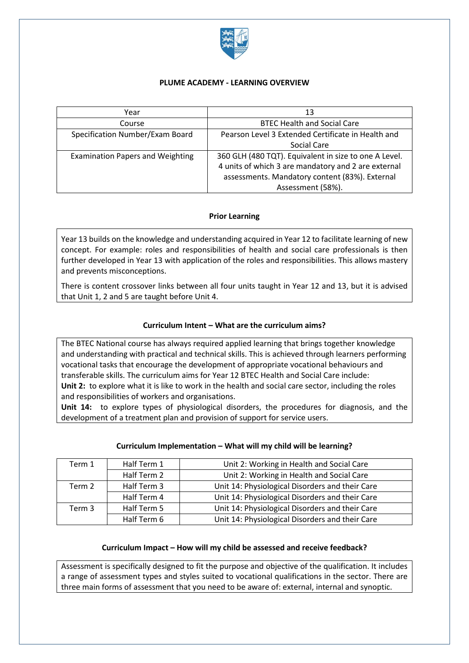

### **PLUME ACADEMY - LEARNING OVERVIEW**

| Year                                    | 13                                                                                                                                                                                  |  |  |  |  |
|-----------------------------------------|-------------------------------------------------------------------------------------------------------------------------------------------------------------------------------------|--|--|--|--|
| Course                                  | <b>BTEC Health and Social Care</b>                                                                                                                                                  |  |  |  |  |
| Specification Number/Exam Board         | Pearson Level 3 Extended Certificate in Health and<br>Social Care                                                                                                                   |  |  |  |  |
| <b>Examination Papers and Weighting</b> | 360 GLH (480 TQT). Equivalent in size to one A Level.<br>4 units of which 3 are mandatory and 2 are external<br>assessments. Mandatory content (83%). External<br>Assessment (58%). |  |  |  |  |

# **Prior Learning**

Year 13 builds on the knowledge and understanding acquired in Year 12 to facilitate learning of new concept. For example: roles and responsibilities of health and social care professionals is then further developed in Year 13 with application of the roles and responsibilities. This allows mastery and prevents misconceptions.

There is content crossover links between all four units taught in Year 12 and 13, but it is advised that Unit 1, 2 and 5 are taught before Unit 4.

### **Curriculum Intent – What are the curriculum aims?**

The BTEC National course has always required applied learning that brings together knowledge and understanding with practical and technical skills. This is achieved through learners performing vocational tasks that encourage the development of appropriate vocational behaviours and transferable skills. The curriculum aims for Year 12 BTEC Health and Social Care include: **Unit 2:** to explore what it is like to work in the health and social care sector, including the roles and responsibilities of workers and organisations.

**Unit 14:** to explore types of physiological disorders, the procedures for diagnosis, and the development of a treatment plan and provision of support for service users.

## **Curriculum Implementation – What will my child will be learning?**

| Term 1 | Half Term 1 | Unit 2: Working in Health and Social Care       |  |  |  |
|--------|-------------|-------------------------------------------------|--|--|--|
|        | Half Term 2 | Unit 2: Working in Health and Social Care       |  |  |  |
| Term 2 | Half Term 3 | Unit 14: Physiological Disorders and their Care |  |  |  |
|        | Half Term 4 | Unit 14: Physiological Disorders and their Care |  |  |  |
| Term 3 | Half Term 5 | Unit 14: Physiological Disorders and their Care |  |  |  |
|        | Half Term 6 | Unit 14: Physiological Disorders and their Care |  |  |  |

### **Curriculum Impact – How will my child be assessed and receive feedback?**

Assessment is specifically designed to fit the purpose and objective of the qualification. It includes a range of assessment types and styles suited to vocational qualifications in the sector. There are three main forms of assessment that you need to be aware of: external, internal and synoptic.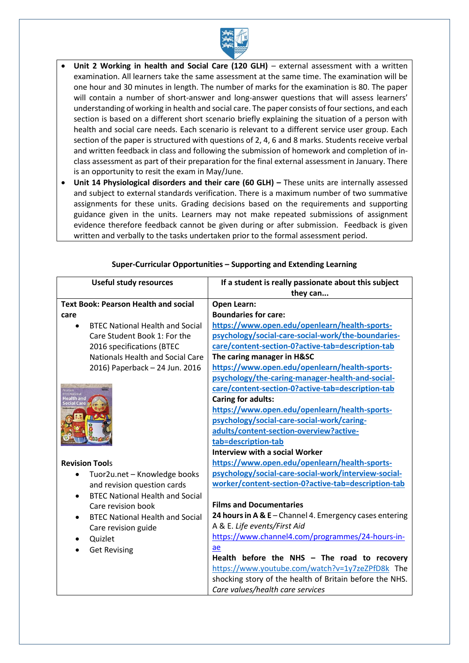

- **Unit 2 Working in health and Social Care (120 GLH)** external assessment with a written examination. All learners take the same assessment at the same time. The examination will be one hour and 30 minutes in length. The number of marks for the examination is 80. The paper will contain a number of short-answer and long-answer questions that will assess learners' understanding of working in health and social care. The paper consists of four sections, and each section is based on a different short scenario briefly explaining the situation of a person with health and social care needs. Each scenario is relevant to a different service user group. Each section of the paper is structured with questions of 2, 4, 6 and 8 marks. Students receive verbal and written feedback in class and following the submission of homework and completion of inclass assessment as part of their preparation for the final external assessment in January. There is an opportunity to resit the exam in May/June.
- **Unit 14 Physiological disorders and their care (60 GLH) –** These units are internally assessed and subject to external standards verification. There is a maximum number of two summative assignments for these units. Grading decisions based on the requirements and supporting guidance given in the units. Learners may not make repeated submissions of assignment evidence therefore feedback cannot be given during or after submission. Feedback is given written and verbally to the tasks undertaken prior to the formal assessment period.

| <b>Useful study resources</b>                       | If a student is really passionate about this subject    |  |  |
|-----------------------------------------------------|---------------------------------------------------------|--|--|
|                                                     | they can                                                |  |  |
| <b>Text Book: Pearson Health and social</b>         | <b>Open Learn:</b>                                      |  |  |
| care                                                | <b>Boundaries for care:</b>                             |  |  |
| <b>BTEC National Health and Social</b><br>$\bullet$ | https://www.open.edu/openlearn/health-sports-           |  |  |
| Care Student Book 1: For the                        | psychology/social-care-social-work/the-boundaries-      |  |  |
| 2016 specifications (BTEC                           | care/content-section-0?active-tab=description-tab       |  |  |
| <b>Nationals Health and Social Care</b>             | The caring manager in H&SC                              |  |  |
| 2016) Paperback - 24 Jun. 2016                      | https://www.open.edu/openlearn/health-sports-           |  |  |
|                                                     | psychology/the-caring-manager-health-and-social-        |  |  |
| <b>BTEC</b>                                         | care/content-section-0?active-tab=description-tab       |  |  |
|                                                     | <b>Caring for adults:</b>                               |  |  |
|                                                     | https://www.open.edu/openlearn/health-sports-           |  |  |
|                                                     | psychology/social-care-social-work/caring-              |  |  |
|                                                     | adults/content-section-overview?active-                 |  |  |
|                                                     | tab=description-tab                                     |  |  |
|                                                     | <b>Interview with a social Worker</b>                   |  |  |
| <b>Revision Tools</b>                               | https://www.open.edu/openlearn/health-sports-           |  |  |
| Tuor2u.net - Knowledge books<br>$\bullet$           | psychology/social-care-social-work/interview-social-    |  |  |
| and revision question cards                         | worker/content-section-0?active-tab=description-tab     |  |  |
| <b>BTEC National Health and Social</b><br>$\bullet$ |                                                         |  |  |
| Care revision book                                  | <b>Films and Documentaries</b>                          |  |  |
| <b>BTEC National Health and Social</b><br>$\bullet$ | 24 hours in A & E - Channel 4. Emergency cases entering |  |  |
| Care revision guide                                 | A & E. Life events/First Aid                            |  |  |
| Quizlet<br>$\bullet$                                | https://www.channel4.com/programmes/24-hours-in-        |  |  |
| <b>Get Revising</b><br>$\bullet$                    | ae                                                      |  |  |
|                                                     | Health before the NHS - The road to recovery            |  |  |
|                                                     | https://www.youtube.com/watch?v=1y7zeZPfD8k The         |  |  |
|                                                     | shocking story of the health of Britain before the NHS. |  |  |
|                                                     | Care values/health care services                        |  |  |

### **Super-Curricular Opportunities – Supporting and Extending Learning**